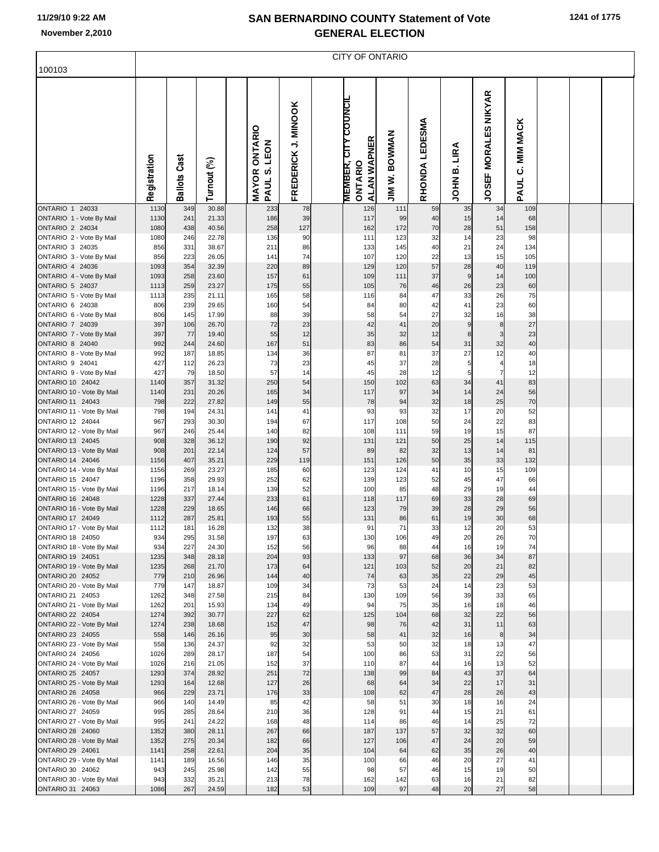| 100103                                             | <b>CITY OF ONTARIO</b> |                     |                |  |                                                             |                     |  |                                                                      |                                        |                |                   |                                |                              |  |  |  |
|----------------------------------------------------|------------------------|---------------------|----------------|--|-------------------------------------------------------------|---------------------|--|----------------------------------------------------------------------|----------------------------------------|----------------|-------------------|--------------------------------|------------------------------|--|--|--|
|                                                    |                        |                     |                |  |                                                             |                     |  |                                                                      |                                        |                |                   |                                |                              |  |  |  |
|                                                    | Registration           | <b>Ballots Cast</b> | Turnout (%)    |  | <b>ONTARIO</b><br>LEON<br><b>vi</b><br><b>MAYOR</b><br>PAUL | FREDERICK J. MINOOK |  | <b>COUNCIL</b><br><b>ALAN WAPNER</b><br><b>MEMBER, CI</b><br>ONTARIO | <b>BOWMAN</b><br>ż<br>$\sum_{i=1}^{n}$ | RHONDA LEDESMA | LIRA<br>ø<br>NHOL | <b>MORALES NIKYAR</b><br>JOSEF | <b>MIM MACK</b><br>ن<br>PAUL |  |  |  |
| <b>ONTARIO 1 24033</b><br>ONTARIO 1 - Vote By Mail | 1130<br>1130           | 349<br>241          | 30.88<br>21.33 |  | 233<br>186                                                  | 78<br>39            |  | 126<br>117                                                           | 111<br>99                              | 59<br>40       | 35<br>15          | 34<br>14                       | 109<br>68                    |  |  |  |
| ONTARIO 2 24034                                    | 1080                   | 438                 | 40.56          |  | 258                                                         | 127                 |  | 162                                                                  | 172                                    | 70             | 28                | 51                             | 158                          |  |  |  |
| ONTARIO 2 - Vote By Mail                           | 1080                   | 246                 | 22.78          |  | 136                                                         | 90                  |  | 111                                                                  | 123<br>145                             | 32             | 14                | 23<br>24                       | 98                           |  |  |  |
| ONTARIO 3 24035<br>ONTARIO 3 - Vote By Mail        | 856<br>856             | 331<br>223          | 38.67<br>26.05 |  | 211<br>141                                                  | 86<br>74            |  | 133<br>107                                                           | 120                                    | 40<br>22       | 21<br>13          | 15                             | 134<br>105                   |  |  |  |
| ONTARIO 4 24036                                    | 1093                   | 354                 | 32.39          |  | 220                                                         | 89                  |  | 129                                                                  | 120                                    | 57             | 28                | 40                             | 119                          |  |  |  |
| ONTARIO 4 - Vote By Mail<br>ONTARIO 5 24037        | 1093<br>1113           | 258<br>259          | 23.60<br>23.27 |  | 157<br>175                                                  | 61<br>55            |  | 109<br>105                                                           | 111<br>76                              | 37<br>46       | 9<br>26           | 14<br>23                       | 100<br>60                    |  |  |  |
| ONTARIO 5 - Vote By Mail                           | 1113                   | 235                 | 21.11          |  | 165                                                         | 58                  |  | 116                                                                  | 84                                     | 47             | 33                | 26                             | 75                           |  |  |  |
| ONTARIO 6 24038                                    | 806                    | 239                 | 29.65          |  | 160                                                         | 54                  |  | 84                                                                   | 80                                     | 42             | 41                | 23                             | 60                           |  |  |  |
| ONTARIO 6 - Vote By Mail<br>ONTARIO 7 24039        | 806<br>397             | 145<br>106          | 17.99<br>26.70 |  | 88<br>72                                                    | 39<br>23            |  | 58<br>42                                                             | 54<br>41                               | 27<br>20       | 32<br>9           | 16<br>8                        | 38<br>27                     |  |  |  |
| ONTARIO 7 - Vote By Mail                           | 397                    | 77                  | 19.40          |  | 55                                                          | 12                  |  | 35                                                                   | 32                                     | 12             | 8                 | 3                              | 23                           |  |  |  |
| <b>ONTARIO 8 24040</b>                             | 992                    | 244                 | 24.60          |  | 167                                                         | 51                  |  | 83                                                                   | 86                                     | 54             | 31                | 32                             | 40                           |  |  |  |
| ONTARIO 8 - Vote By Mail<br>ONTARIO 9 24041        | 992<br>427             | 187<br>112          | 18.85<br>26.23 |  | 134<br>73                                                   | 36<br>23            |  | 87<br>45                                                             | 81<br>37                               | 37<br>28       | 27<br>5           | 12                             | 40<br>18                     |  |  |  |
| ONTARIO 9 - Vote By Mail                           | 427                    | 79                  | 18.50          |  | 57                                                          | 14                  |  | 45                                                                   | 28                                     | 12             | 5                 | 7                              | 12                           |  |  |  |
| ONTARIO 10 24042                                   | 1140                   | 357                 | 31.32          |  | 250                                                         | 54                  |  | 150                                                                  | 102                                    | 63             | 34                | 41                             | 83                           |  |  |  |
| ONTARIO 10 - Vote By Mail<br>ONTARIO 11 24043      | 1140<br>798            | 231<br>222          | 20.26<br>27.82 |  | 165<br>149                                                  | 34<br>55            |  | 117<br>78                                                            | 97<br>94                               | 34<br>32       | 14<br>18          | 24<br>25                       | 56<br>70                     |  |  |  |
| ONTARIO 11 - Vote By Mail                          | 798                    | 194                 | 24.31          |  | 141                                                         | 41                  |  | 93                                                                   | 93                                     | 32             | 17                | 20                             | 52                           |  |  |  |
| ONTARIO 12 24044                                   | 967                    | 293                 | 30.30          |  | 194                                                         | 67                  |  | 117                                                                  | 108                                    | 50             | 24                | 22                             | 83                           |  |  |  |
| ONTARIO 12 - Vote By Mail<br>ONTARIO 13 24045      | 967<br>908             | 246<br>328          | 25.44<br>36.12 |  | 140<br>190                                                  | 82<br>92            |  | 108<br>131                                                           | 111<br>121                             | 59<br>50       | 19<br>25          | 15<br>14                       | 87<br>115                    |  |  |  |
| ONTARIO 13 - Vote By Mail                          | 908                    | 201                 | 22.14          |  | 124                                                         | 57                  |  | 89                                                                   | 82                                     | 32             | 13                | 14                             | 81                           |  |  |  |
| ONTARIO 14 24046                                   | 1156                   | 407                 | 35.21          |  | 229                                                         | 119                 |  | 151                                                                  | 126                                    | 50             | 35                | 33                             | 132                          |  |  |  |
| ONTARIO 14 - Vote By Mail<br>ONTARIO 15 24047      | 1156<br>1196           | 269<br>358          | 23.27<br>29.93 |  | 185<br>252                                                  | 60<br>62            |  | 123<br>139                                                           | 124<br>123                             | 41<br>52       | 10<br>45          | 15<br>47                       | 109<br>66                    |  |  |  |
| ONTARIO 15 - Vote By Mail                          | 1196                   | 217                 | 18.14          |  | 139                                                         | 52                  |  | 100                                                                  | 85                                     | 48             | 29                | 19                             | 44                           |  |  |  |
| ONTARIO 16 24048                                   | 1228                   | 337                 | 27.44          |  | 233                                                         | 61                  |  | 118                                                                  | 117                                    | 69             | 33                | 28                             | 69                           |  |  |  |
| ONTARIO 16 - Vote By Mail<br>ONTARIO 17 24049      | 1228<br>1112           | 229<br>287          | 18.65<br>25.81 |  | 146<br>193                                                  | 66<br>55            |  | 123<br>131                                                           | 79<br>86                               | 39<br>61       | 28<br>19          | 29<br>30                       | 56<br>68                     |  |  |  |
| ONTARIO 17 - Vote By Mail                          | 1112                   | 181                 | 16.28          |  | 132                                                         | 38                  |  | 91                                                                   | 71                                     | 33             | 12                | 20                             | 53                           |  |  |  |
| ONTARIO 18 24050                                   | 934                    | 295                 | 31.58          |  | 197                                                         | 63<br>56            |  | 130                                                                  | 106                                    | 49             | 20                | 26                             | 70                           |  |  |  |
| ONTARIO 18 - Vote By Mail<br>ONTARIO 19 24051      | 934<br>1235            | 227<br>348          | 24.30<br>28.18 |  | 152<br>204                                                  | 93                  |  | 96<br>133                                                            | 88<br>97                               | 44<br>68       | 16<br>36          | 19<br>34                       | 74<br>87                     |  |  |  |
| ONTARIO 19 - Vote By Mail                          | 1235                   | 268                 | 21.70          |  | 173                                                         | 64                  |  | 121                                                                  | 103                                    | 52             | 20                | 21                             | 82                           |  |  |  |
| ONTARIO 20 24052<br>ONTARIO 20 - Vote By Mail      | 779<br>779             | 210<br>147          | 26.96<br>18.87 |  | 144<br>109                                                  | 40<br>34            |  | 74<br>73                                                             | 63<br>53                               | 35<br>24       | 22<br>14          | 29<br>23                       | 45<br>53                     |  |  |  |
| ONTARIO 21 24053                                   | 1262                   | 348                 | 27.58          |  | 215                                                         | 84                  |  | 130                                                                  | 109                                    | 56             | 39                | 33                             | 65                           |  |  |  |
| ONTARIO 21 - Vote By Mail                          | 1262                   | 201                 | 15.93          |  | 134                                                         | 49                  |  | 94                                                                   | 75                                     | 35             | 16                | 18                             | 46                           |  |  |  |
| ONTARIO 22 24054<br>ONTARIO 22 - Vote By Mail      | 1274<br>1274           | 392<br>238          | 30.77<br>18.68 |  | 227<br>152                                                  | 62<br>47            |  | 125<br>98                                                            | 104<br>76                              | 68<br>42       | 32<br>31          | 22<br>11                       | 56<br>63                     |  |  |  |
| ONTARIO 23 24055                                   | 558                    | 146                 | 26.16          |  | 95                                                          | 30                  |  | 58                                                                   | 41                                     | 32             | 16                | 8                              | 34                           |  |  |  |
| ONTARIO 23 - Vote By Mail                          | 558                    | 136                 | 24.37          |  | 92                                                          | 32                  |  | 53                                                                   | 50                                     | 32             | 18                | 13                             | 47                           |  |  |  |
| ONTARIO 24 24056<br>ONTARIO 24 - Vote By Mail      | 1026<br>1026           | 289<br>216          | 28.17<br>21.05 |  | 187<br>152                                                  | 54<br>37            |  | 100<br>110                                                           | 86<br>87                               | 53<br>44       | 31<br>16          | 22<br>13                       | 56<br>52                     |  |  |  |
| ONTARIO 25 24057                                   | 1293                   | 374                 | 28.92          |  | 251                                                         | 72                  |  | 138                                                                  | 99                                     | 84             | 43                | 37                             | 64                           |  |  |  |
| ONTARIO 25 - Vote By Mail                          | 1293                   | 164                 | 12.68          |  | 127                                                         | 26                  |  | 68                                                                   | 64                                     | 34             | 22                | 17                             | 31                           |  |  |  |
| ONTARIO 26 24058<br>ONTARIO 26 - Vote By Mail      | 966<br>966             | 229<br>140          | 23.71<br>14.49 |  | 176<br>85                                                   | 33<br>42            |  | 108<br>58                                                            | 62<br>51                               | 47<br>30       | 28<br>18          | 26<br>16                       | 43<br>24                     |  |  |  |
| ONTARIO 27 24059                                   | 995                    | 285                 | 28.64          |  | 210                                                         | 36                  |  | 128                                                                  | 91                                     | 44             | 15                | 21                             | 61                           |  |  |  |
| ONTARIO 27 - Vote By Mail                          | 995                    | 241                 | 24.22          |  | 168                                                         | 48                  |  | 114                                                                  | 86                                     | 46             | 14                | 25                             | 72                           |  |  |  |
| ONTARIO 28 24060<br>ONTARIO 28 - Vote By Mail      | 1352<br>1352           | 380<br>275          | 28.11<br>20.34 |  | 267<br>182                                                  | 66<br>66            |  | 187<br>127                                                           | 137<br>106                             | 57<br>47       | 32<br>24          | 32<br>20                       | 60<br>59                     |  |  |  |
| ONTARIO 29 24061                                   | 1141                   | 258                 | 22.61          |  | 204                                                         | 35                  |  | 104                                                                  | 64                                     | 62             | 35                | 26                             | 40                           |  |  |  |
| ONTARIO 29 - Vote By Mail                          | 1141                   | 189                 | 16.56          |  | 146                                                         | 35                  |  | 100                                                                  | 66                                     | 46             | 20                | 27                             | 41                           |  |  |  |
| ONTARIO 30 24062<br>ONTARIO 30 - Vote By Mail      | 943<br>943             | 245<br>332          | 25.98<br>35.21 |  | 142<br>213                                                  | 55<br>78            |  | 98<br>162                                                            | 57<br>142                              | 46<br>63       | 15<br>16          | 19<br>21                       | 50<br>82                     |  |  |  |
| ONTARIO 31 24063                                   | 1086                   | 267                 | 24.59          |  | 182                                                         | 53                  |  | 109                                                                  | 97                                     | 48             | 20                | 27                             | 58                           |  |  |  |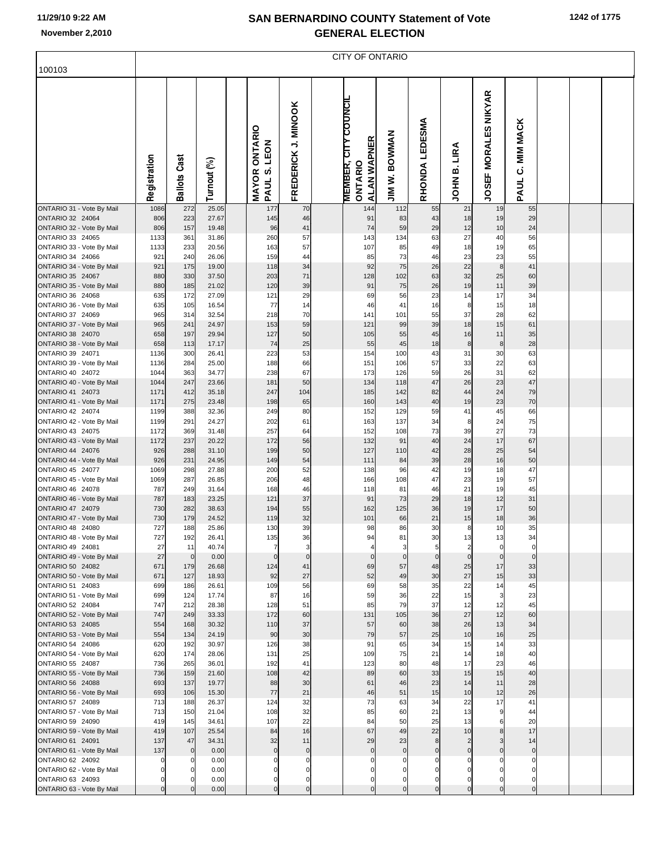|                                               |              |                     |                |                                                             |                               | <b>CITY OF ONTARIO</b>                                                |                         |                  |                               |                                       |                              |  |  |
|-----------------------------------------------|--------------|---------------------|----------------|-------------------------------------------------------------|-------------------------------|-----------------------------------------------------------------------|-------------------------|------------------|-------------------------------|---------------------------------------|------------------------------|--|--|
| 100103                                        |              |                     |                |                                                             |                               |                                                                       |                         |                  |                               |                                       |                              |  |  |
|                                               | Registration | <b>Ballots Cast</b> | Turnout (%)    | <b>ONTARIO</b><br>LEON<br><b>vi</b><br><b>MAYOR</b><br>PAUL | FREDERICK J. MINOOK           | <b>COUNCIL</b><br><b>ALAN WAPNER</b><br><b>MEMBER, CIT</b><br>ONTARIO | <b>BOWWAN</b><br>JIM W. | RHONDA LEDESMA   | LIRA<br>ø<br>HIOL             | <b>MORALES NIKYAR</b><br><b>JOSEF</b> | <b>MIM MACK</b><br>ن<br>PAUL |  |  |
| ONTARIO 31 - Vote By Mail                     | 1086         | 272                 | 25.05          | 177                                                         | 70                            | 144                                                                   | 112                     | 55               | 21                            | 19                                    | 55                           |  |  |
| ONTARIO 32 24064<br>ONTARIO 32 - Vote By Mail | 806<br>806   | 223<br>157          | 27.67<br>19.48 | 145<br>96                                                   | 46<br>41                      | 91<br>74                                                              | 83<br>59                | 43<br>29         | 18<br>12                      | 19<br>10                              | 29<br>24                     |  |  |
| ONTARIO 33 24065                              | 1133         | 361                 | 31.86          | 260                                                         | 57                            | 143                                                                   | 134                     | 63               | 27                            | 40                                    | 56                           |  |  |
| ONTARIO 33 - Vote By Mail                     | 1133         | 233                 | 20.56          | 163                                                         | 57                            | 107                                                                   | 85                      | 49               | 18                            | 19                                    | 65                           |  |  |
| ONTARIO 34 24066                              | 921          | 240                 | 26.06          | 159                                                         | 44                            | 85                                                                    | 73                      | 46               | 23                            | 23                                    | 55                           |  |  |
| ONTARIO 34 - Vote By Mail<br>ONTARIO 35 24067 | 921<br>880   | 175<br>330          | 19.00<br>37.50 | 118<br>203                                                  | 34<br>71                      | 92<br>128                                                             | 75<br>102               | 26<br>63         | 22<br>32                      | 8<br>25                               | 41<br>60                     |  |  |
| ONTARIO 35 - Vote By Mail                     | 880          | 185                 | 21.02          | 120                                                         | 39                            | 91                                                                    | 75                      | 26               | 19                            | 11                                    | 39                           |  |  |
| ONTARIO 36 24068                              | 635          | 172                 | 27.09          | 121                                                         | 29                            | 69                                                                    | 56                      | 23               | 14                            | 17                                    | 34                           |  |  |
| ONTARIO 36 - Vote By Mail                     | 635          | 105                 | 16.54          | 77                                                          | 14                            | 46                                                                    | 41                      | 16               | 8                             | 15                                    | 18                           |  |  |
| ONTARIO 37 24069                              | 965          | 314                 | 32.54          | 218                                                         | 70                            | 141                                                                   | 101                     | 55               | 37                            | 28                                    | 62                           |  |  |
| ONTARIO 37 - Vote By Mail<br>ONTARIO 38 24070 | 965<br>658   | 241<br>197          | 24.97<br>29.94 | 153<br>127                                                  | 59<br>50                      | 121<br>105                                                            | 99<br>55                | 39<br>45         | 18<br>16                      | 15<br>11                              | 61<br>35                     |  |  |
| ONTARIO 38 - Vote By Mail                     | 658          | 113                 | 17.17          | 74                                                          | 25                            | 55                                                                    | 45                      | 18               | 8                             | 8                                     | 28                           |  |  |
| ONTARIO 39 24071                              | 1136         | 300                 | 26.41          | 223                                                         | 53                            | 154                                                                   | 100                     | 43               | 31                            | 30                                    | 63                           |  |  |
| ONTARIO 39 - Vote By Mail                     | 1136         | 284                 | 25.00          | 188                                                         | 66                            | 151                                                                   | 106                     | 57               | 33                            | 22                                    | 63                           |  |  |
| ONTARIO 40 24072                              | 1044         | 363                 | 34.77          | 238                                                         | 67                            | 173                                                                   | 126                     | 59               | 26                            | 31                                    | 62                           |  |  |
| ONTARIO 40 - Vote By Mail<br>ONTARIO 41 24073 | 1044<br>1171 | 247<br>412          | 23.66<br>35.18 | 181<br>247                                                  | 50<br>104                     | 134<br>185                                                            | 118<br>142              | 47<br>82         | 26<br>44                      | 23<br>24                              | 47<br>79                     |  |  |
| ONTARIO 41 - Vote By Mail                     | 1171         | 275                 | 23.48          | 198                                                         | 65                            | 160                                                                   | 143                     | 40               | 19                            | 23                                    | 70                           |  |  |
| ONTARIO 42 24074                              | 1199         | 388                 | 32.36          | 249                                                         | 80                            | 152                                                                   | 129                     | 59               | 41                            | 45                                    | 66                           |  |  |
| ONTARIO 42 - Vote By Mail                     | 1199         | 291                 | 24.27          | 202                                                         | 61                            | 163                                                                   | 137                     | 34               | 8                             | 24                                    | 75                           |  |  |
| ONTARIO 43 24075                              | 1172         | 369<br>237          | 31.48<br>20.22 | 257<br>172                                                  | 64<br>56                      | 152<br>132                                                            | 108<br>91               | 73               | 39                            | 27<br>17                              | 73<br>67                     |  |  |
| ONTARIO 43 - Vote By Mail<br>ONTARIO 44 24076 | 1172<br>926  | 288                 | 31.10          | 199                                                         | 50                            | 127                                                                   | 110                     | 40<br>42         | 24<br>28                      | 25                                    | 54                           |  |  |
| ONTARIO 44 - Vote By Mail                     | 926          | 231                 | 24.95          | 149                                                         | 54                            | 111                                                                   | 84                      | 39               | 28                            | 16                                    | 50                           |  |  |
| ONTARIO 45 24077                              | 1069         | 298                 | 27.88          | 200                                                         | 52                            | 138                                                                   | 96                      | 42               | 19                            | 18                                    | 47                           |  |  |
| ONTARIO 45 - Vote By Mail                     | 1069         | 287                 | 26.85          | 206                                                         | 48                            | 166                                                                   | 108                     | 47               | 23                            | 19                                    | 57                           |  |  |
| ONTARIO 46 24078<br>ONTARIO 46 - Vote By Mail | 787<br>787   | 249<br>183          | 31.64<br>23.25 | 168<br>121                                                  | 46<br>37                      | 118<br>91                                                             | 81<br>73                | 46<br>29         | 21<br>18                      | 19<br>12                              | 45<br>31                     |  |  |
| ONTARIO 47 24079                              | 730          | 282                 | 38.63          | 194                                                         | 55                            | 162                                                                   | 125                     | 36               | 19                            | 17                                    | 50                           |  |  |
| ONTARIO 47 - Vote By Mail                     | 730          | 179                 | 24.52          | 119                                                         | 32                            | 101                                                                   | 66                      | 21               | 15                            | 18                                    | 36                           |  |  |
| ONTARIO 48 24080                              | 727          | 188                 | 25.86          | 130                                                         | 39                            | 98                                                                    | 86                      | 30               | 8                             | 10                                    | 35                           |  |  |
| ONTARIO 48 - Vote By Mail                     | 727          | 192                 | 26.41          | 135                                                         | 36                            | 94                                                                    | 81                      | 30               | 13                            | 13                                    | 34                           |  |  |
| ONTARIO 49 24081<br>ONTARIO 49 - Vote By Mail | 27<br>27     | 11<br>$\mathbf 0$   | 40.74<br>0.00  | $\overline{7}$<br>$\Omega$                                  | $\overline{3}$<br>$\mathbf 0$ | $\overline{4}$<br>$\mathbf 0$                                         | 3<br>$\mathbf 0$        | 5<br>$\mathbf 0$ | $\overline{2}$<br>$\mathbf 0$ | $\Omega$<br>$\Omega$                  | $\mathbf 0$<br>$\mathbf 0$   |  |  |
| ONTARIO 50 24082                              | 671          | 179                 | 26.68          | 124                                                         | 41                            | 69                                                                    | 57                      | 48               | 25                            | 17                                    | 33                           |  |  |
| ONTARIO 50 - Vote By Mail                     | 671          | 127                 | 18.93          | 92                                                          | 27                            | 52                                                                    | 49                      | 30               | 27                            | 15                                    | 33                           |  |  |
| ONTARIO 51 24083                              | 699          | 186                 | 26.61          | 109                                                         | 56                            | 69                                                                    | 58                      | 35               | 22                            | 14                                    | 45                           |  |  |
| ONTARIO 51 - Vote By Mail<br>ONTARIO 52 24084 | 699<br>747   | 124<br>212          | 17.74<br>28.38 | 87<br>128                                                   | 16<br>51                      | 59<br>85                                                              | 36<br>79                | 22<br>37         | 15<br>12                      | 3<br>12                               | 23<br>45                     |  |  |
| ONTARIO 52 - Vote By Mail                     | 747          | 249                 | 33.33          | 172                                                         | 60                            | 131                                                                   | 105                     | 36               | 27                            | 12                                    | 60                           |  |  |
| ONTARIO 53 24085                              | 554          | 168                 | 30.32          | 110                                                         | 37                            | 57                                                                    | 60                      | 38               | 26                            | 13                                    | 34                           |  |  |
| ONTARIO 53 - Vote By Mail                     | 554          | 134                 | 24.19          | 90                                                          | 30                            | 79                                                                    | 57                      | 25               | 10                            | 16                                    | 25                           |  |  |
| ONTARIO 54 24086                              | 620          | 192                 | 30.97          | 126<br>131                                                  | 38<br>25                      | 91                                                                    | 65<br>75                | 34<br>21         | 15                            | 14                                    | 33<br>40                     |  |  |
| ONTARIO 54 - Vote By Mail<br>ONTARIO 55 24087 | 620<br>736   | 174<br>265          | 28.06<br>36.01 | 192                                                         | 41                            | 109<br>123                                                            | 80                      | 48               | 14<br>17                      | 18<br>23                              | 46                           |  |  |
| ONTARIO 55 - Vote By Mail                     | 736          | 159                 | 21.60          | 108                                                         | 42                            | 89                                                                    | 60                      | 33               | 15                            | 15                                    | 40                           |  |  |
| ONTARIO 56 24088                              | 693          | 137                 | 19.77          | 88                                                          | 30                            | 61                                                                    | 46                      | 23               | 14                            | 11                                    | 28                           |  |  |
| ONTARIO 56 - Vote By Mail                     | 693          | 106                 | 15.30          | 77                                                          | 21                            | 46                                                                    | 51                      | 15               | 10                            | 12                                    | 26                           |  |  |
| ONTARIO 57 24089                              | 713<br>713   | 188<br>150          | 26.37<br>21.04 | 124<br>108                                                  | 32<br>32                      | 73<br>85                                                              | 63<br>60                | 34<br>21         | 22<br>13                      | 17                                    | 41<br>44                     |  |  |
| ONTARIO 57 - Vote By Mail<br>ONTARIO 59 24090 | 419          | 145                 | 34.61          | 107                                                         | 22                            | 84                                                                    | 50                      | 25               | 13                            |                                       | 20                           |  |  |
| ONTARIO 59 - Vote By Mail                     | 419          | 107                 | 25.54          | 84                                                          | 16                            | 67                                                                    | 49                      | 22               | 10                            | $\mathsf{R}$                          | 17                           |  |  |
| ONTARIO 61 24091                              | 137          | 47                  | 34.31          | 32                                                          | 11                            | 29                                                                    | 23                      | 8                | $\overline{2}$                |                                       | 14                           |  |  |
| ONTARIO 61 - Vote By Mail                     | 137          | $\mathbf 0$         | 0.00           | $\overline{0}$                                              | $\overline{0}$                | $\mathbf 0$                                                           | $\mathbf 0$             | $\mathbf 0$      | $\mathbf 0$                   |                                       | $\overline{0}$               |  |  |
| ONTARIO 62 24092<br>ONTARIO 62 - Vote By Mail | 0<br>0       |                     | 0.00<br>0.00   |                                                             | $\mathbf 0$<br>0              |                                                                       |                         | $\Omega$         | $\Omega$<br>$\Omega$          |                                       | 0<br>$\Omega$                |  |  |
| ONTARIO 63 24093                              | 0            |                     | 0.00           | 0                                                           | 0                             | 0                                                                     | 0                       | $\mathbf 0$      | $\Omega$                      |                                       | $\Omega$                     |  |  |
| ONTARIO 63 - Vote By Mail                     | $\mathbf 0$  |                     | 0.00           | $\Omega$                                                    | $\overline{0}$                | $\Omega$                                                              | $\mathbf 0$             | $\mathbf 0$      | $\Omega$                      | $\Omega$                              | $\overline{0}$               |  |  |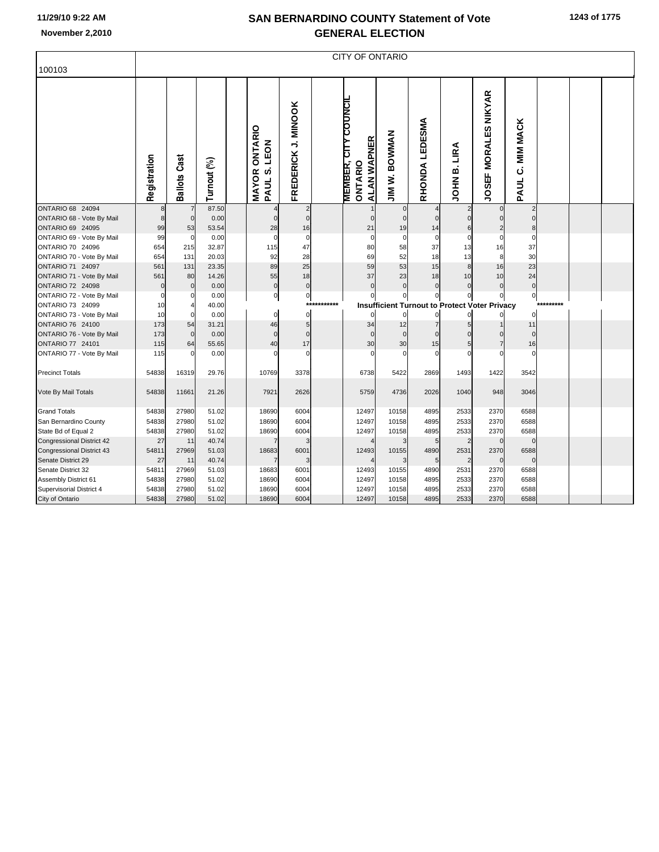| 100103                                        | <b>CITY OF ONTARIO</b> |                     |               |  |                                            |                               |      |                                                              |                                                      |                |                   |                                |                               |           |  |  |
|-----------------------------------------------|------------------------|---------------------|---------------|--|--------------------------------------------|-------------------------------|------|--------------------------------------------------------------|------------------------------------------------------|----------------|-------------------|--------------------------------|-------------------------------|-----------|--|--|
|                                               | Registration           | <b>Ballots Cast</b> | Turnout (%)   |  | ONTARIO<br>LEON<br>PAUL S.<br><b>MAYOR</b> | FREDERICK J. MINOOK           |      | <b>MEMBER, CITY COUNCIL</b><br><b>ALAN WAPNER</b><br>ONTARIO | <b>JIM W. BOWMAN</b>                                 | RHONDA LEDESMA | LIRA<br>ø<br>NHOL | <b>MORALES NIKYAR</b><br>JOSEF | <b>MIM MACK</b><br>ن<br>PAUL  |           |  |  |
| ONTARIO 68 24094<br>ONTARIO 68 - Vote By Mail | 8                      | $\mathbf 0$         | 87.50<br>0.00 |  | $\mathbf 0$                                | $\overline{2}$<br>$\mathbf 0$ |      | $\mathbf 0$                                                  | $\mathbf 0$<br>$\mathbf 0$                           | $\mathbf{0}$   | $\Omega$          | $\mathbf{0}$<br>$\overline{0}$ | $\overline{2}$<br>$\mathbf 0$ |           |  |  |
| ONTARIO 69 24095                              | 99                     | 53                  | 53.54         |  | 28                                         | 16                            |      | 21                                                           | 19                                                   | 14             | 6                 | 2                              | 8                             |           |  |  |
| ONTARIO 69 - Vote By Mail                     | 99                     | $\mathbf 0$         | 0.00          |  | $\Omega$                                   | $\mathbf 0$                   |      | $\overline{0}$                                               | $\overline{0}$                                       | $\mathbf 0$    | $\Omega$          | $\mathbf 0$                    | $\mathbf 0$                   |           |  |  |
| ONTARIO 70 24096                              | 654                    | 215                 | 32.87         |  | 115                                        | 47                            |      | 80                                                           | 58                                                   | 37             | 13                | 16                             | 37                            |           |  |  |
| ONTARIO 70 - Vote By Mail                     | 654                    | 131                 | 20.03         |  | 92                                         | 28                            |      | 69                                                           | 52                                                   | 18             | 13                | 8                              | 30                            |           |  |  |
| ONTARIO 71 24097                              | 561                    | 131                 | 23.35         |  | 89                                         | 25                            |      | 59                                                           | 53                                                   | 15             | 8                 | 16                             | 23                            |           |  |  |
| ONTARIO 71 - Vote By Mail                     | 561                    | 80                  | 14.26         |  | 55                                         | 18                            |      | 37                                                           | 23                                                   | 18             | 10                | 10                             | 24                            |           |  |  |
| <b>ONTARIO 72 24098</b>                       |                        | $\mathbf 0$         | 0.00          |  | $\mathbf 0$                                | $\pmb{0}$                     |      | $\Omega$                                                     | $\Omega$                                             | $\Omega$       | $\Omega$          | $\overline{0}$                 | $\mathbf 0$                   |           |  |  |
| ONTARIO 72 - Vote By Mail                     |                        | 0                   | 0.00          |  | 0                                          | $\pmb{0}$                     |      |                                                              |                                                      |                |                   |                                | $\overline{0}$                |           |  |  |
| ONTARIO 73 24099                              | 10                     |                     | 40.00         |  |                                            |                               | **** |                                                              | <b>Insufficient Turnout to Protect Voter Privacy</b> |                |                   |                                |                               | ********* |  |  |
| ONTARIO 73 - Vote By Mail                     | 10                     | $\mathbf 0$         | 0.00          |  | $\mathbf 0$                                | $\mathbf 0$                   |      |                                                              |                                                      | $\Omega$       | $\Omega$          |                                | $\mathbf 0$                   |           |  |  |
| ONTARIO 76 24100                              | 173                    | 54                  | 31.21         |  | 46                                         | $\sqrt{5}$                    |      | 34                                                           | 12                                                   |                |                   |                                | 11                            |           |  |  |
| ONTARIO 76 - Vote By Mail                     | 173                    | $\mathbf 0$         | 0.00          |  | $\mathbf 0$                                | $\mathbf 0$                   |      | $\Omega$                                                     | $\Omega$                                             |                |                   | $\Omega$                       | $\mathbf{0}$                  |           |  |  |
| <b>ONTARIO 77 24101</b>                       | 115                    | 64                  | 55.65         |  | 40                                         | 17                            |      | 30                                                           | 30                                                   | 15             | 5                 | $\overline{7}$                 | 16                            |           |  |  |
| ONTARIO 77 - Vote By Mail                     | 115                    | $\mathcal{C}$       | 0.00          |  | $\Omega$                                   | $\Omega$                      |      | $\mathcal{C}$                                                | $\Omega$                                             |                | n                 | $\Omega$                       | $\Omega$                      |           |  |  |
| <b>Precinct Totals</b>                        | 54838                  | 16319               | 29.76         |  | 10769                                      | 3378                          |      | 6738                                                         | 5422                                                 | 2869           | 1493              | 1422                           | 3542                          |           |  |  |
|                                               |                        |                     |               |  |                                            |                               |      |                                                              |                                                      |                |                   |                                |                               |           |  |  |
| Vote By Mail Totals                           | 54838                  | 11661               | 21.26         |  | 7921                                       | 2626                          |      | 5759                                                         | 4736                                                 | 2026           | 1040              | 948                            | 3046                          |           |  |  |
| <b>Grand Totals</b>                           | 54838                  | 27980               | 51.02         |  | 18690                                      | 6004                          |      | 12497                                                        | 10158                                                | 4895           | 2533              | 2370                           | 6588                          |           |  |  |
| San Bernardino County                         | 54838                  | 27980               | 51.02         |  | 18690                                      | 6004                          |      | 12497                                                        | 10158                                                | 4895           | 2533              | 2370                           | 6588                          |           |  |  |
| State Bd of Equal 2                           | 54838                  | 27980               | 51.02         |  | 18690                                      | 6004                          |      | 12497                                                        | 10158                                                | 4895           | 2533              | 2370                           | 6588                          |           |  |  |
| <b>Congressional District 42</b>              | 27                     | 11                  | 40.74         |  |                                            | 3                             |      | $\boldsymbol{\Delta}$                                        | 3                                                    | 5              | $\overline{2}$    | $\mathbf 0$                    | $\mathbf 0$                   |           |  |  |
| Congressional District 43                     | 54811                  | 27969               | 51.03         |  | 18683                                      | 6001                          |      | 12493                                                        | 10155                                                | 4890           | 2531              | 2370                           | 6588                          |           |  |  |
| Senate District 29                            | 27                     | 11                  | 40.74         |  |                                            | 3                             |      |                                                              |                                                      | 5              | $\overline{2}$    | $\mathbf 0$                    | $\mathbf 0$                   |           |  |  |
| Senate District 32                            | 54811                  | 27969               | 51.03         |  | 18683                                      | 6001                          |      | 12493                                                        | 10155                                                | 4890           | 2531              | 2370                           | 6588                          |           |  |  |
| Assembly District 61                          | 54838                  | 27980               | 51.02         |  | 18690                                      | 6004                          |      | 12497                                                        | 10158                                                | 4895           | 2533              | 2370                           | 6588                          |           |  |  |
| Supervisorial District 4                      | 54838                  | 27980               | 51.02         |  | 18690                                      | 6004                          |      | 12497                                                        | 10158                                                | 4895           | 2533              | 2370                           | 6588                          |           |  |  |
| City of Ontario                               | 54838                  | 27980               | 51.02         |  | 18690                                      | 6004                          |      | 12497                                                        | 10158                                                | 4895           | 2533              | 2370                           | 6588                          |           |  |  |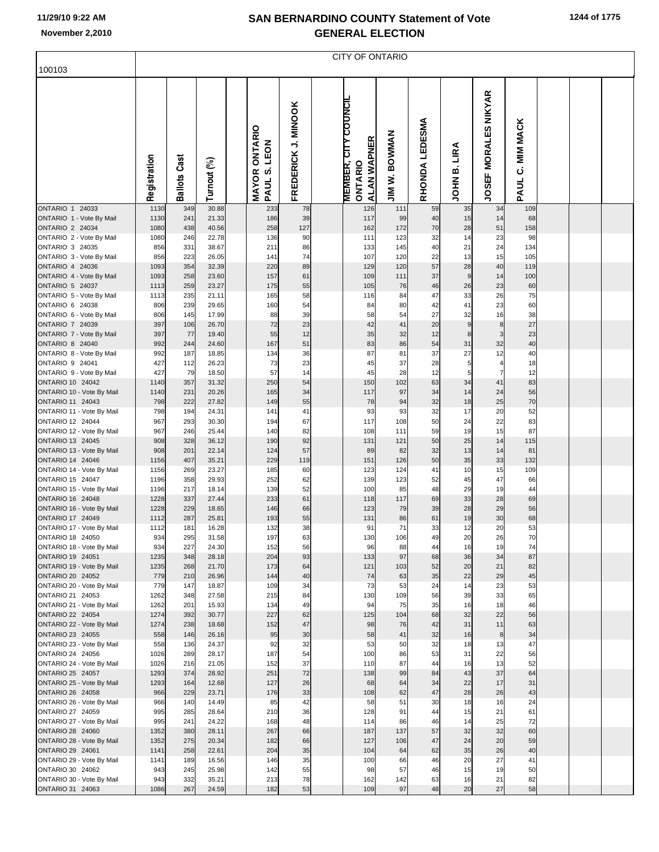| 100103                                        | <b>CITY OF ONTARIO</b> |                     |                |  |                                               |                     |  |                                                       |                              |                   |                  |                                |                              |  |  |  |
|-----------------------------------------------|------------------------|---------------------|----------------|--|-----------------------------------------------|---------------------|--|-------------------------------------------------------|------------------------------|-------------------|------------------|--------------------------------|------------------------------|--|--|--|
|                                               |                        |                     |                |  |                                               |                     |  |                                                       |                              |                   |                  |                                |                              |  |  |  |
|                                               | Registration           | <b>Ballots Cast</b> | Turnout (%)    |  | ONTARIO<br>LEON<br>(b<br><b>MAYOR</b><br>PAUL | FREDERICK J. MINOOK |  | <b>MEMBER, CITY COUNCIL</b><br>ALAN WAPNER<br>ONTARIO | <b>BOWMAN</b><br>Ż<br>$\leq$ | LEDESMA<br>RHONDA | LIRA<br>ø<br>HOL | <b>MORALES NIKYAR</b><br>JOSEF | <b>MIM MACK</b><br>ن<br>PAUL |  |  |  |
| ONTARIO 1 24033<br>ONTARIO 1 - Vote By Mail   | 1130<br>1130           | 349<br>241          | 30.88<br>21.33 |  | 233<br>186                                    | 78<br>39            |  | 126<br>117                                            | 111<br>99                    | 59<br>40          | 35<br>15         | 34<br>14                       | 109<br>68                    |  |  |  |
| <b>ONTARIO 2 24034</b>                        | 1080                   | 438                 | 40.56          |  | 258                                           | 127                 |  | 162                                                   | 172                          | 70                | 28               | 51                             | 158                          |  |  |  |
| ONTARIO 2 - Vote By Mail                      | 1080                   | 246                 | 22.78          |  | 136                                           | 90                  |  | 111                                                   | 123                          | 32                | 14               | 23                             | 98                           |  |  |  |
| ONTARIO 3 24035                               | 856                    | 331                 | 38.67          |  | 211                                           | 86                  |  | 133                                                   | 145                          | 40                | 21               | 24                             | 134                          |  |  |  |
| ONTARIO 3 - Vote By Mail<br>ONTARIO 4 24036   | 856<br>1093            | 223<br>354          | 26.05<br>32.39 |  | 141<br>220                                    | 74<br>89            |  | 107<br>129                                            | 120<br>120                   | 22<br>57          | 13<br>28         | 15<br>40                       | 105<br>119                   |  |  |  |
| ONTARIO 4 - Vote By Mail                      | 1093                   | 258                 | 23.60          |  | 157                                           | 61                  |  | 109                                                   | 111                          | 37                | 9                | 14                             | 100                          |  |  |  |
| ONTARIO 5 24037                               | 1113                   | 259                 | 23.27          |  | 175                                           | 55                  |  | 105                                                   | 76                           | 46                | 26               | 23                             | 60                           |  |  |  |
| ONTARIO 5 - Vote By Mail                      | 1113                   | 235                 | 21.11          |  | 165                                           | 58                  |  | 116                                                   | 84                           | 47                | 33               | 26                             | 75                           |  |  |  |
| ONTARIO 6 24038                               | 806                    | 239                 | 29.65          |  | 160                                           | 54                  |  | 84                                                    | 80                           | 42                | 41               | 23                             | 60                           |  |  |  |
| ONTARIO 6 - Vote By Mail<br>ONTARIO 7 24039   | 806<br>397             | 145<br>106          | 17.99<br>26.70 |  | 88<br>72                                      | 39<br>23            |  | 58<br>42                                              | 54<br>41                     | 27<br>20          | 32<br>9          | 16<br>8                        | 38<br>27                     |  |  |  |
| ONTARIO 7 - Vote By Mail                      | 397                    | 77                  | 19.40          |  | 55                                            | 12                  |  | 35                                                    | 32                           | 12                | 8                | 3                              | 23                           |  |  |  |
| <b>ONTARIO 8 24040</b>                        | 992                    | 244                 | 24.60          |  | 167                                           | 51                  |  | 83                                                    | 86                           | 54                | 31               | 32                             | 40                           |  |  |  |
| ONTARIO 8 - Vote By Mail                      | 992                    | 187                 | 18.85          |  | 134                                           | 36                  |  | 87                                                    | 81                           | 37                | 27               | 12                             | 40                           |  |  |  |
| ONTARIO 9 24041                               | 427                    | 112                 | 26.23          |  | 73                                            | 23                  |  | 45                                                    | 37                           | 28                | 5                | $\overline{4}$                 | 18                           |  |  |  |
| ONTARIO 9 - Vote By Mail<br>ONTARIO 10 24042  | 427<br>1140            | 79<br>357           | 18.50<br>31.32 |  | 57<br>250                                     | 14<br>54            |  | 45<br>150                                             | 28<br>102                    | 12<br>63          | 5<br>34          | $\overline{7}$<br>41           | 12<br>83                     |  |  |  |
| ONTARIO 10 - Vote By Mail                     | 1140                   | 231                 | 20.26          |  | 165                                           | 34                  |  | 117                                                   | 97                           | 34                | 14               | 24                             | 56                           |  |  |  |
| ONTARIO 11 24043                              | 798                    | 222                 | 27.82          |  | 149                                           | 55                  |  | 78                                                    | 94                           | 32                | 18               | 25                             | 70                           |  |  |  |
| ONTARIO 11 - Vote By Mail                     | 798                    | 194                 | 24.31          |  | 141                                           | 41                  |  | 93                                                    | 93                           | 32                | 17               | 20                             | 52                           |  |  |  |
| ONTARIO 12 24044<br>ONTARIO 12 - Vote By Mail | 967<br>967             | 293<br>246          | 30.30<br>25.44 |  | 194<br>140                                    | 67<br>82            |  | 117<br>108                                            | 108<br>111                   | 50<br>59          | 24<br>19         | 22<br>15                       | 83<br>87                     |  |  |  |
| ONTARIO 13 24045                              | 908                    | 328                 | 36.12          |  | 190                                           | 92                  |  | 131                                                   | 121                          | 50                | 25               | 14                             | 115                          |  |  |  |
| ONTARIO 13 - Vote By Mail                     | 908                    | 201                 | 22.14          |  | 124                                           | 57                  |  | 89                                                    | 82                           | 32                | 13               | 14                             | 81                           |  |  |  |
| ONTARIO 14 24046                              | 1156                   | 407                 | 35.21          |  | 229                                           | 119                 |  | 151                                                   | 126                          | 50                | 35               | 33                             | 132                          |  |  |  |
| ONTARIO 14 - Vote By Mail                     | 1156                   | 269                 | 23.27          |  | 185                                           | 60                  |  | 123                                                   | 124                          | 41                | 10               | 15                             | 109                          |  |  |  |
| ONTARIO 15 24047<br>ONTARIO 15 - Vote By Mail | 1196<br>1196           | 358<br>217          | 29.93<br>18.14 |  | 252<br>139                                    | 62<br>52            |  | 139<br>100                                            | 123<br>85                    | 52<br>48          | 45<br>29         | 47<br>19                       | 66<br>44                     |  |  |  |
| ONTARIO 16 24048                              | 1228                   | 337                 | 27.44          |  | 233                                           | 61                  |  | 118                                                   | 117                          | 69                | 33               | 28                             | 69                           |  |  |  |
| ONTARIO 16 - Vote By Mail                     | 1228                   | 229                 | 18.65          |  | 146                                           | 66                  |  | 123                                                   | 79                           | 39                | 28               | 29                             | 56                           |  |  |  |
| ONTARIO 17 24049                              | 1112                   | 287                 | 25.81          |  | 193                                           | 55                  |  | 131                                                   | 86                           | 61                | 19               | 30                             | 68                           |  |  |  |
| ONTARIO 17 - Vote By Mail                     | 1112                   | 181                 | 16.28          |  | 132                                           | 38                  |  | 91                                                    | 71                           | 33                | 12               | 20                             | 53                           |  |  |  |
| ONTARIO 18 24050<br>ONTARIO 18 - Vote By Mail | 934<br>934             | 295<br>227          | 31.58<br>24.30 |  | 197<br>152                                    | 63<br>56            |  | 130<br>96                                             | 106<br>88                    | 49<br>44          | 20<br>16         | 26<br>19                       | 70<br>74                     |  |  |  |
| ONTARIO 19 24051                              | 1235                   | 348                 | 28.18          |  | 204                                           | 93                  |  | 133                                                   | 97                           | 68                | 36               | 34                             | 87                           |  |  |  |
| ONTARIO 19 - Vote By Mail                     | 1235                   | 268                 | 21.70          |  | 173                                           | 64                  |  | 121                                                   | 103                          | 52                | 20               | 21                             | 82                           |  |  |  |
| ONTARIO 20 24052                              | 779                    | 210                 | 26.96          |  | 144                                           | 40                  |  | 74                                                    | 63                           | 35                | 22               | 29                             | 45                           |  |  |  |
| ONTARIO 20 - Vote By Mail                     | 779                    | 147<br>348          | 18.87          |  | 109                                           | 34<br>84            |  | 73                                                    | 53                           | 24<br>56          | 14<br>39         | 23                             | 53                           |  |  |  |
| ONTARIO 21 24053<br>ONTARIO 21 - Vote By Mail | 1262<br>1262           | 201                 | 27.58<br>15.93 |  | 215<br>134                                    | 49                  |  | 130<br>94                                             | 109<br>75                    | 35                | 16               | 33<br>18                       | 65<br>46                     |  |  |  |
| ONTARIO 22 24054                              | 1274                   | 392                 | 30.77          |  | 227                                           | 62                  |  | 125                                                   | 104                          | 68                | 32               | 22                             | 56                           |  |  |  |
| ONTARIO 22 - Vote By Mail                     | 1274                   | 238                 | 18.68          |  | 152                                           | 47                  |  | 98                                                    | 76                           | 42                | 31               | 11                             | 63                           |  |  |  |
| ONTARIO 23 24055                              | 558                    | 146                 | 26.16          |  | 95                                            | 30                  |  | 58                                                    | 41                           | 32                | 16               | 8                              | 34                           |  |  |  |
| ONTARIO 23 - Vote By Mail<br>ONTARIO 24 24056 | 558<br>1026            | 136<br>289          | 24.37<br>28.17 |  | 92<br>187                                     | 32<br>54            |  | 53<br>100                                             | 50<br>86                     | 32<br>53          | 18<br>31         | 13<br>22                       | 47<br>56                     |  |  |  |
| ONTARIO 24 - Vote By Mail                     | 1026                   | 216                 | 21.05          |  | 152                                           | 37                  |  | 110                                                   | 87                           | 44                | 16               | 13                             | 52                           |  |  |  |
| ONTARIO 25 24057                              | 1293                   | 374                 | 28.92          |  | 251                                           | 72                  |  | 138                                                   | 99                           | 84                | 43               | 37                             | 64                           |  |  |  |
| ONTARIO 25 - Vote By Mail                     | 1293                   | 164                 | 12.68          |  | 127                                           | 26                  |  | 68                                                    | 64                           | 34                | 22               | 17                             | 31                           |  |  |  |
| ONTARIO 26 24058                              | 966                    | 229                 | 23.71          |  | 176                                           | 33                  |  | 108                                                   | 62                           | 47                | 28               | 26                             | 43                           |  |  |  |
| ONTARIO 26 - Vote By Mail<br>ONTARIO 27 24059 | 966<br>995             | 140<br>285          | 14.49<br>28.64 |  | 85<br>210                                     | 42<br>36            |  | 58<br>128                                             | 51<br>91                     | 30<br>44          | 18<br>15         | 16<br>21                       | 24<br>61                     |  |  |  |
| ONTARIO 27 - Vote By Mail                     | 995                    | 241                 | 24.22          |  | 168                                           | 48                  |  | 114                                                   | 86                           | 46                | 14               | 25                             | 72                           |  |  |  |
| ONTARIO 28 24060                              | 1352                   | 380                 | 28.11          |  | 267                                           | 66                  |  | 187                                                   | 137                          | 57                | 32               | 32                             | 60                           |  |  |  |
| ONTARIO 28 - Vote By Mail                     | 1352                   | 275                 | 20.34          |  | 182                                           | 66                  |  | 127                                                   | 106                          | 47                | 24               | 20                             | 59                           |  |  |  |
| ONTARIO 29 24061                              | 1141                   | 258                 | 22.61          |  | 204                                           | 35                  |  | 104                                                   | 64                           | 62                | 35               | 26                             | 40                           |  |  |  |
| ONTARIO 29 - Vote By Mail<br>ONTARIO 30 24062 | 1141<br>943            | 189<br>245          | 16.56<br>25.98 |  | 146<br>142                                    | 35<br>55            |  | 100<br>98                                             | 66<br>57                     | 46<br>46          | 20<br>15         | 27<br>19                       | 41<br>50                     |  |  |  |
| ONTARIO 30 - Vote By Mail                     | 943                    | 332                 | 35.21          |  | 213                                           | 78                  |  | 162                                                   | 142                          | 63                | 16               | 21                             | 82                           |  |  |  |
| ONTARIO 31 24063                              | 1086                   | 267                 | 24.59          |  | 182                                           | 53                  |  | 109                                                   | 97                           | 48                | 20               | 27                             | 58                           |  |  |  |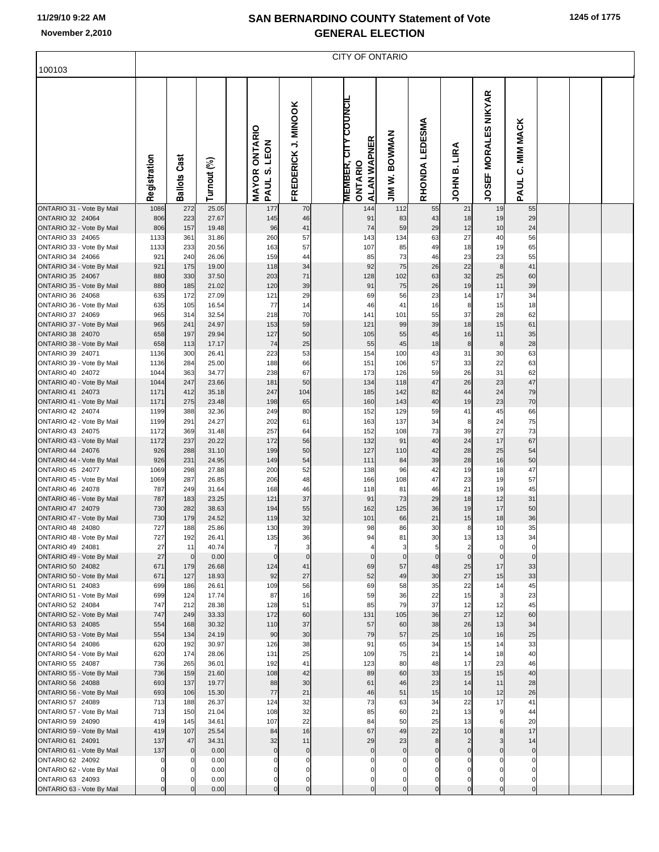|                                               |              |                     |                |                                                             |                               | <b>CITY OF ONTARIO</b>                                                |                         |                  |                               |                                       |                              |  |  |
|-----------------------------------------------|--------------|---------------------|----------------|-------------------------------------------------------------|-------------------------------|-----------------------------------------------------------------------|-------------------------|------------------|-------------------------------|---------------------------------------|------------------------------|--|--|
| 100103                                        |              |                     |                |                                                             |                               |                                                                       |                         |                  |                               |                                       |                              |  |  |
|                                               | Registration | <b>Ballots Cast</b> | Turnout (%)    | <b>ONTARIO</b><br>LEON<br><b>vi</b><br><b>MAYOR</b><br>PAUL | FREDERICK J. MINOOK           | <b>COUNCIL</b><br><b>ALAN WAPNER</b><br><b>MEMBER, CIT</b><br>ONTARIO | <b>BOWWAN</b><br>JIM W. | RHONDA LEDESMA   | LIRA<br>ø<br>HIOL             | <b>MORALES NIKYAR</b><br><b>JOSEF</b> | <b>MIM MACK</b><br>ن<br>PAUL |  |  |
| ONTARIO 31 - Vote By Mail                     | 1086         | 272                 | 25.05          | 177                                                         | 70                            | 144                                                                   | 112                     | 55               | 21                            | 19                                    | 55                           |  |  |
| ONTARIO 32 24064<br>ONTARIO 32 - Vote By Mail | 806<br>806   | 223<br>157          | 27.67<br>19.48 | 145<br>96                                                   | 46<br>41                      | 91<br>74                                                              | 83<br>59                | 43<br>29         | 18<br>12                      | 19<br>10                              | 29<br>24                     |  |  |
| ONTARIO 33 24065                              | 1133         | 361                 | 31.86          | 260                                                         | 57                            | 143                                                                   | 134                     | 63               | 27                            | 40                                    | 56                           |  |  |
| ONTARIO 33 - Vote By Mail                     | 1133         | 233                 | 20.56          | 163                                                         | 57                            | 107                                                                   | 85                      | 49               | 18                            | 19                                    | 65                           |  |  |
| ONTARIO 34 24066                              | 921          | 240                 | 26.06          | 159                                                         | 44                            | 85                                                                    | 73                      | 46               | 23                            | 23                                    | 55                           |  |  |
| ONTARIO 34 - Vote By Mail<br>ONTARIO 35 24067 | 921<br>880   | 175<br>330          | 19.00<br>37.50 | 118<br>203                                                  | 34<br>71                      | 92<br>128                                                             | 75<br>102               | 26<br>63         | 22<br>32                      | 8<br>25                               | 41<br>60                     |  |  |
| ONTARIO 35 - Vote By Mail                     | 880          | 185                 | 21.02          | 120                                                         | 39                            | 91                                                                    | 75                      | 26               | 19                            | 11                                    | 39                           |  |  |
| ONTARIO 36 24068                              | 635          | 172                 | 27.09          | 121                                                         | 29                            | 69                                                                    | 56                      | 23               | 14                            | 17                                    | 34                           |  |  |
| ONTARIO 36 - Vote By Mail                     | 635          | 105                 | 16.54          | 77                                                          | 14                            | 46                                                                    | 41                      | 16               | 8                             | 15                                    | 18                           |  |  |
| ONTARIO 37 24069                              | 965          | 314                 | 32.54          | 218                                                         | 70                            | 141                                                                   | 101                     | 55               | 37                            | 28                                    | 62                           |  |  |
| ONTARIO 37 - Vote By Mail<br>ONTARIO 38 24070 | 965<br>658   | 241<br>197          | 24.97<br>29.94 | 153<br>127                                                  | 59<br>50                      | 121<br>105                                                            | 99<br>55                | 39<br>45         | 18<br>16                      | 15<br>11                              | 61<br>35                     |  |  |
| ONTARIO 38 - Vote By Mail                     | 658          | 113                 | 17.17          | 74                                                          | 25                            | 55                                                                    | 45                      | 18               | 8                             | 8                                     | 28                           |  |  |
| ONTARIO 39 24071                              | 1136         | 300                 | 26.41          | 223                                                         | 53                            | 154                                                                   | 100                     | 43               | 31                            | 30                                    | 63                           |  |  |
| ONTARIO 39 - Vote By Mail                     | 1136         | 284                 | 25.00          | 188                                                         | 66                            | 151                                                                   | 106                     | 57               | 33                            | 22                                    | 63                           |  |  |
| ONTARIO 40 24072                              | 1044         | 363                 | 34.77          | 238                                                         | 67                            | 173                                                                   | 126                     | 59               | 26                            | 31                                    | 62                           |  |  |
| ONTARIO 40 - Vote By Mail<br>ONTARIO 41 24073 | 1044<br>1171 | 247<br>412          | 23.66<br>35.18 | 181<br>247                                                  | 50<br>104                     | 134<br>185                                                            | 118<br>142              | 47<br>82         | 26<br>44                      | 23<br>24                              | 47<br>79                     |  |  |
| ONTARIO 41 - Vote By Mail                     | 1171         | 275                 | 23.48          | 198                                                         | 65                            | 160                                                                   | 143                     | 40               | 19                            | 23                                    | 70                           |  |  |
| ONTARIO 42 24074                              | 1199         | 388                 | 32.36          | 249                                                         | 80                            | 152                                                                   | 129                     | 59               | 41                            | 45                                    | 66                           |  |  |
| ONTARIO 42 - Vote By Mail                     | 1199         | 291                 | 24.27          | 202                                                         | 61                            | 163                                                                   | 137                     | 34               | 8                             | 24                                    | 75                           |  |  |
| ONTARIO 43 24075                              | 1172         | 369<br>237          | 31.48<br>20.22 | 257<br>172                                                  | 64<br>56                      | 152<br>132                                                            | 108<br>91               | 73               | 39                            | 27<br>17                              | 73<br>67                     |  |  |
| ONTARIO 43 - Vote By Mail<br>ONTARIO 44 24076 | 1172<br>926  | 288                 | 31.10          | 199                                                         | 50                            | 127                                                                   | 110                     | 40<br>42         | 24<br>28                      | 25                                    | 54                           |  |  |
| ONTARIO 44 - Vote By Mail                     | 926          | 231                 | 24.95          | 149                                                         | 54                            | 111                                                                   | 84                      | 39               | 28                            | 16                                    | 50                           |  |  |
| ONTARIO 45 24077                              | 1069         | 298                 | 27.88          | 200                                                         | 52                            | 138                                                                   | 96                      | 42               | 19                            | 18                                    | 47                           |  |  |
| ONTARIO 45 - Vote By Mail                     | 1069         | 287                 | 26.85          | 206                                                         | 48                            | 166                                                                   | 108                     | 47               | 23                            | 19                                    | 57                           |  |  |
| ONTARIO 46 24078<br>ONTARIO 46 - Vote By Mail | 787<br>787   | 249<br>183          | 31.64<br>23.25 | 168<br>121                                                  | 46<br>37                      | 118<br>91                                                             | 81<br>73                | 46<br>29         | 21<br>18                      | 19<br>12                              | 45<br>31                     |  |  |
| ONTARIO 47 24079                              | 730          | 282                 | 38.63          | 194                                                         | 55                            | 162                                                                   | 125                     | 36               | 19                            | 17                                    | 50                           |  |  |
| ONTARIO 47 - Vote By Mail                     | 730          | 179                 | 24.52          | 119                                                         | 32                            | 101                                                                   | 66                      | 21               | 15                            | 18                                    | 36                           |  |  |
| ONTARIO 48 24080                              | 727          | 188                 | 25.86          | 130                                                         | 39                            | 98                                                                    | 86                      | 30               | 8                             | 10                                    | 35                           |  |  |
| ONTARIO 48 - Vote By Mail                     | 727          | 192                 | 26.41          | 135                                                         | 36                            | 94                                                                    | 81                      | 30               | 13                            | 13                                    | 34                           |  |  |
| ONTARIO 49 24081<br>ONTARIO 49 - Vote By Mail | 27<br>27     | 11<br>$\mathbf 0$   | 40.74<br>0.00  | $\overline{7}$<br>$\Omega$                                  | $\overline{3}$<br>$\mathbf 0$ | $\overline{4}$<br>$\mathbf 0$                                         | 3<br>$\mathbf 0$        | 5<br>$\mathbf 0$ | $\overline{2}$<br>$\mathbf 0$ | $\Omega$<br>$\Omega$                  | $\mathbf 0$<br>$\mathbf 0$   |  |  |
| ONTARIO 50 24082                              | 671          | 179                 | 26.68          | 124                                                         | 41                            | 69                                                                    | 57                      | 48               | 25                            | 17                                    | 33                           |  |  |
| ONTARIO 50 - Vote By Mail                     | 671          | 127                 | 18.93          | 92                                                          | 27                            | 52                                                                    | 49                      | 30               | 27                            | 15                                    | 33                           |  |  |
| ONTARIO 51 24083                              | 699          | 186                 | 26.61          | 109                                                         | 56                            | 69                                                                    | 58                      | 35               | 22                            | 14                                    | 45                           |  |  |
| ONTARIO 51 - Vote By Mail<br>ONTARIO 52 24084 | 699<br>747   | 124<br>212          | 17.74<br>28.38 | 87<br>128                                                   | 16<br>51                      | 59<br>85                                                              | 36<br>79                | 22<br>37         | 15<br>12                      | 3<br>12                               | 23<br>45                     |  |  |
| ONTARIO 52 - Vote By Mail                     | 747          | 249                 | 33.33          | 172                                                         | 60                            | 131                                                                   | 105                     | 36               | 27                            | 12                                    | 60                           |  |  |
| ONTARIO 53 24085                              | 554          | 168                 | 30.32          | 110                                                         | 37                            | 57                                                                    | 60                      | 38               | 26                            | 13                                    | 34                           |  |  |
| ONTARIO 53 - Vote By Mail                     | 554          | 134                 | 24.19          | 90                                                          | 30                            | 79                                                                    | 57                      | 25               | 10                            | 16                                    | 25                           |  |  |
| ONTARIO 54 24086                              | 620          | 192                 | 30.97          | 126<br>131                                                  | 38<br>25                      | 91                                                                    | 65<br>75                | 34<br>21         | 15                            | 14                                    | 33<br>40                     |  |  |
| ONTARIO 54 - Vote By Mail<br>ONTARIO 55 24087 | 620<br>736   | 174<br>265          | 28.06<br>36.01 | 192                                                         | 41                            | 109<br>123                                                            | 80                      | 48               | 14<br>17                      | 18<br>23                              | 46                           |  |  |
| ONTARIO 55 - Vote By Mail                     | 736          | 159                 | 21.60          | 108                                                         | 42                            | 89                                                                    | 60                      | 33               | 15                            | 15                                    | 40                           |  |  |
| ONTARIO 56 24088                              | 693          | 137                 | 19.77          | 88                                                          | 30                            | 61                                                                    | 46                      | 23               | 14                            | 11                                    | 28                           |  |  |
| ONTARIO 56 - Vote By Mail                     | 693          | 106                 | 15.30          | 77                                                          | 21                            | 46                                                                    | 51                      | 15               | 10                            | 12                                    | 26                           |  |  |
| ONTARIO 57 24089                              | 713<br>713   | 188<br>150          | 26.37<br>21.04 | 124<br>108                                                  | 32<br>32                      | 73<br>85                                                              | 63<br>60                | 34<br>21         | 22<br>13                      | 17                                    | 41<br>44                     |  |  |
| ONTARIO 57 - Vote By Mail<br>ONTARIO 59 24090 | 419          | 145                 | 34.61          | 107                                                         | 22                            | 84                                                                    | 50                      | 25               | 13                            |                                       | 20                           |  |  |
| ONTARIO 59 - Vote By Mail                     | 419          | 107                 | 25.54          | 84                                                          | 16                            | 67                                                                    | 49                      | 22               | 10                            | $\mathsf{R}$                          | 17                           |  |  |
| ONTARIO 61 24091                              | 137          | 47                  | 34.31          | 32                                                          | 11                            | 29                                                                    | 23                      | 8                | $\overline{2}$                |                                       | 14                           |  |  |
| ONTARIO 61 - Vote By Mail                     | 137          | $\mathbf 0$         | 0.00           | $\overline{0}$                                              | $\overline{0}$                | $\mathbf 0$                                                           | $\mathbf 0$             | $\mathbf 0$      | $\mathbf 0$                   |                                       | $\overline{0}$               |  |  |
| ONTARIO 62 24092<br>ONTARIO 62 - Vote By Mail | 0<br>0       |                     | 0.00<br>0.00   |                                                             | $\mathbf 0$<br>0              |                                                                       |                         | $\Omega$         | $\Omega$<br>$\Omega$          |                                       | 0<br>$\Omega$                |  |  |
| ONTARIO 63 24093                              | 0            |                     | 0.00           | 0                                                           | 0                             | 0                                                                     | 0                       | $\mathbf 0$      | $\Omega$                      |                                       | $\Omega$                     |  |  |
| ONTARIO 63 - Vote By Mail                     | $\mathbf 0$  |                     | 0.00           | $\mathbf{0}$                                                | $\overline{0}$                | $\Omega$                                                              | $\mathbf 0$             | $\mathbf 0$      | $\Omega$                      | $\Omega$                              | $\overline{0}$               |  |  |